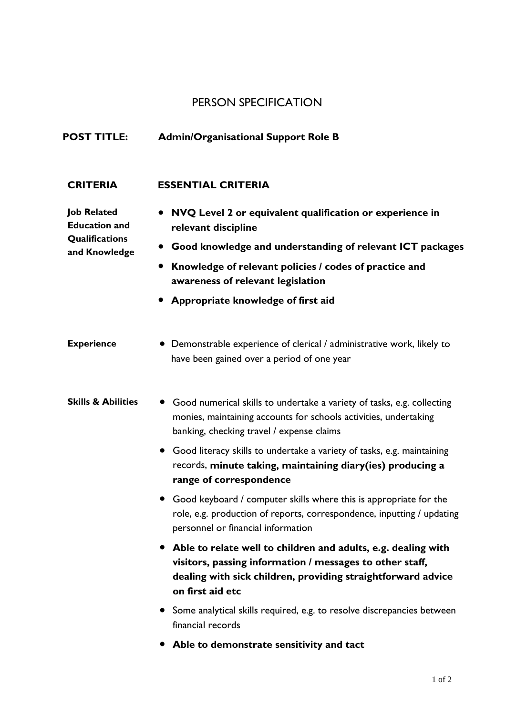## PERSON SPECIFICATION

## **POST TITLE: Admin/Organisational Support Role B**

## **CRITERIA ESSENTIAL CRITERIA**

**Job Related Education and Qualifications and Knowledge**

- **NVQ Level 2 or equivalent qualification or experience in relevant discipline**
- **Good knowledge and understanding of relevant ICT packages**
- **Knowledge of relevant policies / codes of practice and awareness of relevant legislation**
- **Appropriate knowledge of first aid**
- **Experience** Demonstrable experience of clerical / administrative work, likely to have been gained over a period of one year
- **Skills & Abilities** Good numerical skills to undertake a variety of tasks, e.g. collecting monies, maintaining accounts for schools activities, undertaking banking, checking travel / expense claims
	- Good literacy skills to undertake a variety of tasks, e.g. maintaining records, **minute taking, maintaining diary(ies) producing a range of correspondence**
	- Good keyboard / computer skills where this is appropriate for the role, e.g. production of reports, correspondence, inputting / updating personnel or financial information
	- **Able to relate well to children and adults, e.g. dealing with visitors, passing information / messages to other staff, dealing with sick children, providing straightforward advice on first aid etc**
	- Some analytical skills required, e.g. to resolve discrepancies between financial records
	- **Able to demonstrate sensitivity and tact**